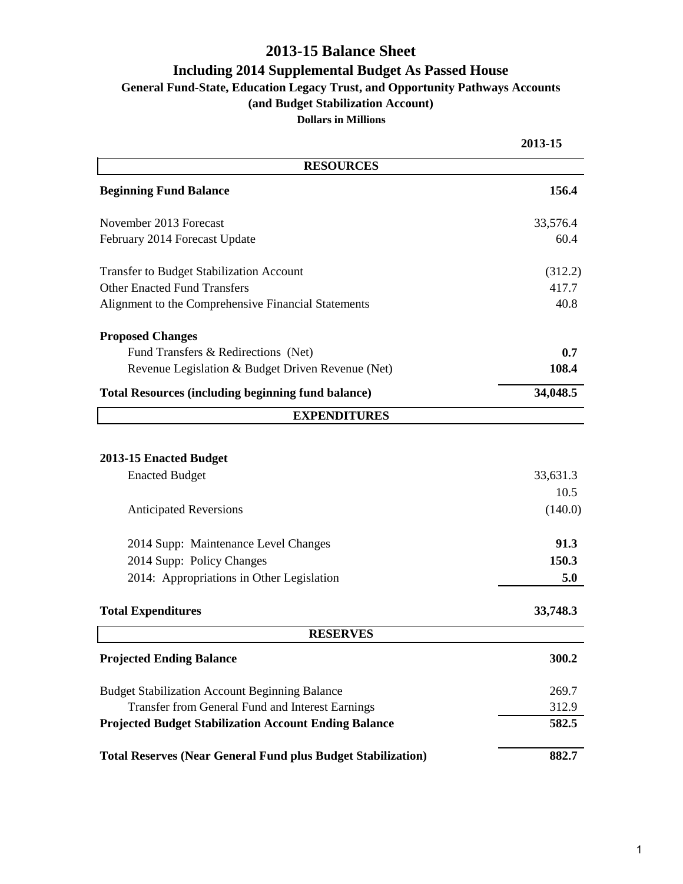#### **2013-15 Balance Sheet**

#### **Including 2014 Supplemental Budget As Passed House**

**General Fund-State, Education Legacy Trust, and Opportunity Pathways Accounts**

**(and Budget Stabilization Account)**

**Dollars in Millions**

|                                                                     | 2013-15  |
|---------------------------------------------------------------------|----------|
| <b>RESOURCES</b>                                                    |          |
| <b>Beginning Fund Balance</b>                                       | 156.4    |
| November 2013 Forecast                                              | 33,576.4 |
| February 2014 Forecast Update                                       | 60.4     |
| <b>Transfer to Budget Stabilization Account</b>                     | (312.2)  |
| <b>Other Enacted Fund Transfers</b>                                 | 417.7    |
| Alignment to the Comprehensive Financial Statements                 | 40.8     |
| <b>Proposed Changes</b>                                             |          |
| Fund Transfers & Redirections (Net)                                 | 0.7      |
| Revenue Legislation & Budget Driven Revenue (Net)                   | 108.4    |
| <b>Total Resources (including beginning fund balance)</b>           | 34,048.5 |
| <b>EXPENDITURES</b>                                                 |          |
|                                                                     |          |
| 2013-15 Enacted Budget                                              |          |
| <b>Enacted Budget</b>                                               | 33,631.3 |
|                                                                     | 10.5     |
| <b>Anticipated Reversions</b>                                       | (140.0)  |
| 2014 Supp: Maintenance Level Changes                                | 91.3     |
| 2014 Supp: Policy Changes                                           | 150.3    |
| 2014: Appropriations in Other Legislation                           | 5.0      |
| <b>Total Expenditures</b>                                           | 33,748.3 |
| <b>RESERVES</b>                                                     |          |
| <b>Projected Ending Balance</b>                                     | 300.2    |
| <b>Budget Stabilization Account Beginning Balance</b>               | 269.7    |
| Transfer from General Fund and Interest Earnings                    | 312.9    |
| <b>Projected Budget Stabilization Account Ending Balance</b>        | 582.5    |
| <b>Total Reserves (Near General Fund plus Budget Stabilization)</b> | 882.7    |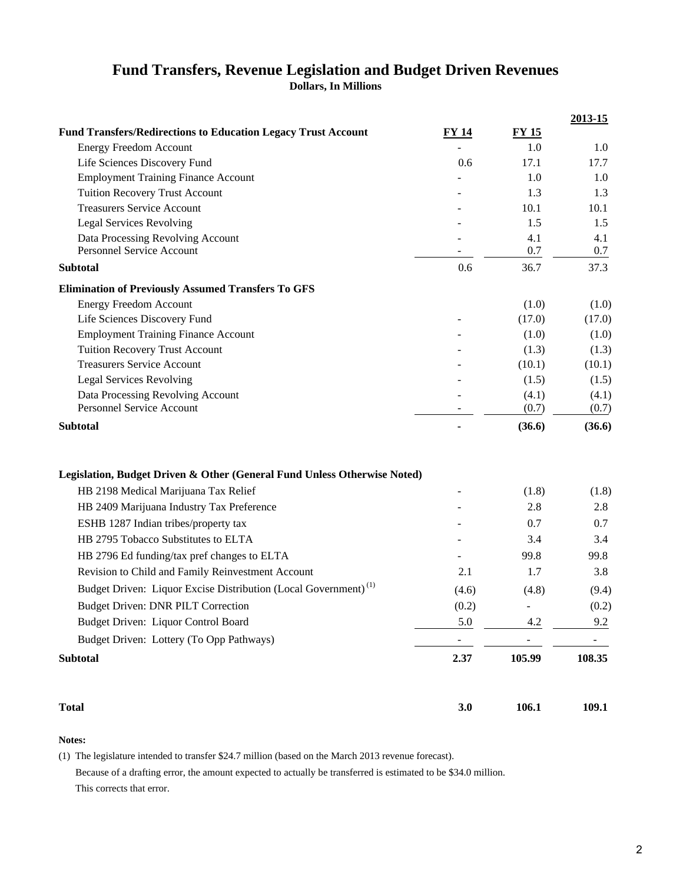# **Fund Transfers, Revenue Legislation and Budget Driven Revenues**

**Dollars, In Millions**

|                                                                             |          |        | 2013-15 |
|-----------------------------------------------------------------------------|----------|--------|---------|
| <b>Fund Transfers/Redirections to Education Legacy Trust Account</b>        | FY 14    | FY 15  |         |
| <b>Energy Freedom Account</b>                                               |          | 1.0    | 1.0     |
| Life Sciences Discovery Fund                                                | 0.6      | 17.1   | 17.7    |
| <b>Employment Training Finance Account</b>                                  |          | 1.0    | 1.0     |
| <b>Tuition Recovery Trust Account</b>                                       |          | 1.3    | 1.3     |
| <b>Treasurers Service Account</b>                                           |          | 10.1   | 10.1    |
| <b>Legal Services Revolving</b>                                             |          | 1.5    | 1.5     |
| Data Processing Revolving Account                                           |          | 4.1    | 4.1     |
| <b>Personnel Service Account</b>                                            |          | 0.7    | 0.7     |
| <b>Subtotal</b>                                                             | 0.6      | 36.7   | 37.3    |
| <b>Elimination of Previously Assumed Transfers To GFS</b>                   |          |        |         |
| <b>Energy Freedom Account</b>                                               |          | (1.0)  | (1.0)   |
| Life Sciences Discovery Fund                                                |          | (17.0) | (17.0)  |
| <b>Employment Training Finance Account</b>                                  |          | (1.0)  | (1.0)   |
| <b>Tuition Recovery Trust Account</b>                                       |          | (1.3)  | (1.3)   |
| <b>Treasurers Service Account</b>                                           |          | (10.1) | (10.1)  |
| <b>Legal Services Revolving</b>                                             |          | (1.5)  | (1.5)   |
| Data Processing Revolving Account                                           |          | (4.1)  | (4.1)   |
| Personnel Service Account                                                   |          | (0.7)  | (0.7)   |
| <b>Subtotal</b>                                                             |          | (36.6) | (36.6)  |
| Legislation, Budget Driven & Other (General Fund Unless Otherwise Noted)    |          |        |         |
| HB 2198 Medical Marijuana Tax Relief                                        |          | (1.8)  | (1.8)   |
| HB 2409 Marijuana Industry Tax Preference                                   |          | 2.8    | 2.8     |
| ESHB 1287 Indian tribes/property tax                                        |          | 0.7    | 0.7     |
| HB 2795 Tobacco Substitutes to ELTA                                         |          | 3.4    | 3.4     |
| HB 2796 Ed funding/tax pref changes to ELTA                                 |          | 99.8   | 99.8    |
| Revision to Child and Family Reinvestment Account                           | 2.1      | 1.7    | 3.8     |
| Budget Driven: Liquor Excise Distribution (Local Government) <sup>(1)</sup> | (4.6)    | (4.8)  | (9.4)   |
| <b>Budget Driven: DNR PILT Correction</b>                                   | (0.2)    |        | (0.2)   |
| Budget Driven: Liquor Control Board                                         | 5.0      | 4.2    | 9.2     |
| Budget Driven: Lottery (To Opp Pathways)                                    |          |        |         |
|                                                                             | $\equiv$ |        | ۳.      |
| <b>Subtotal</b>                                                             | 2.37     | 105.99 | 108.35  |

**Total 3.0 106.1 109.1** 

#### **Notes:**

(1) The legislature intended to transfer \$24.7 million (based on the March 2013 revenue forecast). Because of a drafting error, the amount expected to actually be transferred is estimated to be \$34.0 million. This corrects that error.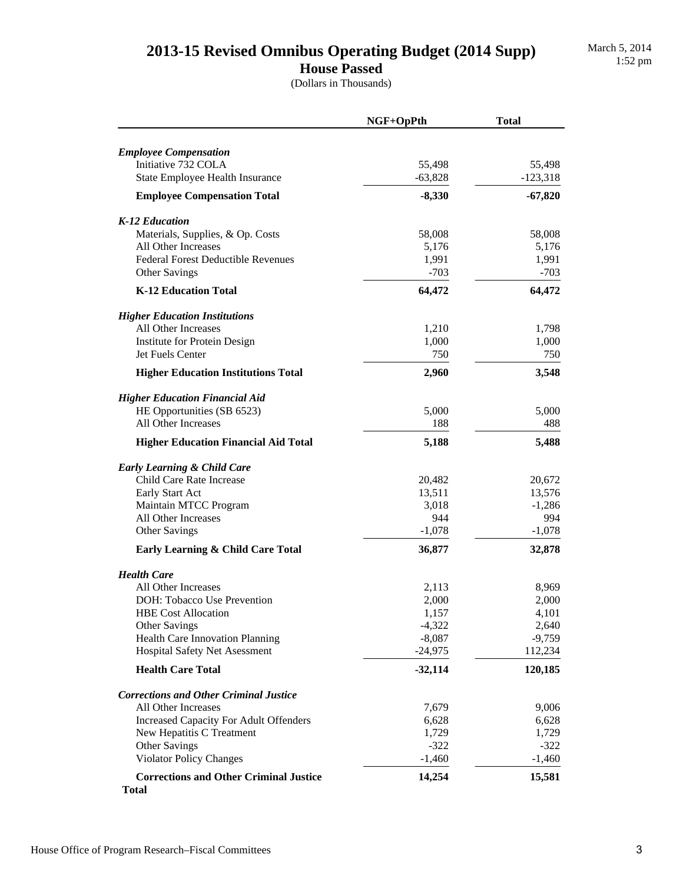## 2013-15 Revised Omnibus Operating Budget (2014 Supp)

#### **House Passed**

(Dollars in Thousands)

|                                                               | NGF+OpPth           | <b>Total</b>         |
|---------------------------------------------------------------|---------------------|----------------------|
|                                                               |                     |                      |
| <b>Employee Compensation</b>                                  |                     |                      |
| Initiative 732 COLA<br>State Employee Health Insurance        | 55,498<br>$-63,828$ | 55,498<br>$-123,318$ |
|                                                               |                     |                      |
| <b>Employee Compensation Total</b>                            | $-8,330$            | $-67,820$            |
| K-12 Education                                                |                     |                      |
| Materials, Supplies, & Op. Costs                              | 58,008              | 58,008               |
| All Other Increases                                           | 5,176               | 5,176                |
| <b>Federal Forest Deductible Revenues</b>                     | 1,991               | 1,991                |
| Other Savings                                                 | $-703$              | $-703$               |
| <b>K-12 Education Total</b>                                   | 64,472              | 64,472               |
| <b>Higher Education Institutions</b>                          |                     |                      |
| All Other Increases                                           | 1,210               | 1,798                |
| Institute for Protein Design                                  | 1,000               | 1,000                |
| Jet Fuels Center                                              | 750                 | 750                  |
| <b>Higher Education Institutions Total</b>                    | 2,960               | 3,548                |
| <b>Higher Education Financial Aid</b>                         |                     |                      |
| HE Opportunities (SB 6523)                                    | 5,000               | 5,000                |
| All Other Increases                                           | 188                 | 488                  |
| <b>Higher Education Financial Aid Total</b>                   | 5,188               | 5,488                |
| <b>Early Learning &amp; Child Care</b>                        |                     |                      |
| Child Care Rate Increase                                      | 20,482              | 20,672               |
| Early Start Act                                               | 13,511              | 13,576               |
| Maintain MTCC Program                                         | 3,018               | $-1,286$             |
| All Other Increases                                           | 944                 | 994                  |
| Other Savings                                                 | $-1,078$            | $-1,078$             |
| Early Learning & Child Care Total                             | 36,877              | 32,878               |
| <b>Health Care</b>                                            |                     |                      |
| All Other Increases                                           | 2,113               | 8,969                |
| DOH: Tobacco Use Prevention                                   | 2,000               | 2,000                |
| <b>HBE Cost Allocation</b>                                    | 1,157               | 4,101                |
| Other Savings                                                 | $-4,322$            | 2,640                |
| Health Care Innovation Planning                               | $-8,087$            | $-9,759$             |
| <b>Hospital Safety Net Asessment</b>                          | $-24,975$           | 112,234              |
| <b>Health Care Total</b>                                      | $-32,114$           | 120,185              |
| <b>Corrections and Other Criminal Justice</b>                 |                     |                      |
| <b>All Other Increases</b>                                    | 7,679               | 9,006                |
| <b>Increased Capacity For Adult Offenders</b>                 | 6,628               | 6,628                |
| New Hepatitis C Treatment                                     | 1,729               | 1,729                |
| Other Savings                                                 | $-322$              | $-322$               |
| <b>Violator Policy Changes</b>                                | $-1,460$            | $-1,460$             |
| <b>Corrections and Other Criminal Justice</b><br><b>Total</b> | 14,254              | 15,581               |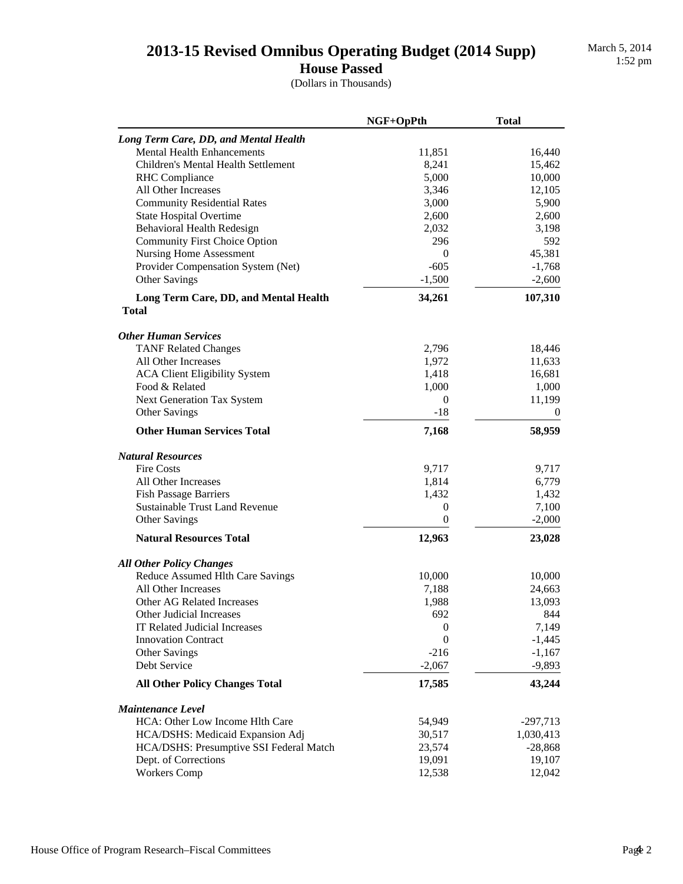## 2013-15 Revised Omnibus Operating Budget (2014 Supp)

March 5, 2014<br>1:52 pm

**House Passed**

(Dollars in Thousands)

|                                                       | NGF+OpPth        | <b>Total</b> |
|-------------------------------------------------------|------------------|--------------|
| Long Term Care, DD, and Mental Health                 |                  |              |
| <b>Mental Health Enhancements</b>                     | 11,851           | 16,440       |
| Children's Mental Health Settlement                   | 8,241            | 15,462       |
| <b>RHC</b> Compliance                                 | 5,000            | 10,000       |
| All Other Increases                                   | 3,346            | 12,105       |
| <b>Community Residential Rates</b>                    | 3,000            | 5,900        |
| <b>State Hospital Overtime</b>                        | 2,600            | 2,600        |
| Behavioral Health Redesign                            | 2,032            | 3,198        |
| <b>Community First Choice Option</b>                  | 296              | 592          |
| <b>Nursing Home Assessment</b>                        | $\boldsymbol{0}$ | 45,381       |
| Provider Compensation System (Net)                    | $-605$           | $-1,768$     |
| <b>Other Savings</b>                                  | $-1,500$         | $-2,600$     |
| Long Term Care, DD, and Mental Health<br><b>Total</b> | 34,261           | 107,310      |
| <b>Other Human Services</b>                           |                  |              |
| <b>TANF Related Changes</b>                           | 2,796            | 18,446       |
| All Other Increases                                   | 1,972            | 11,633       |
| <b>ACA Client Eligibility System</b>                  | 1,418            | 16,681       |
| Food & Related                                        | 1,000            | 1,000        |
| Next Generation Tax System                            | 0                | 11,199       |
| Other Savings                                         | $-18$            | $\bf{0}$     |
| <b>Other Human Services Total</b>                     | 7,168            | 58,959       |
| <b>Natural Resources</b>                              |                  |              |
| <b>Fire Costs</b>                                     | 9,717            | 9,717        |
| All Other Increases                                   | 1,814            | 6,779        |
| <b>Fish Passage Barriers</b>                          | 1,432            | 1,432        |
| <b>Sustainable Trust Land Revenue</b>                 | 0                | 7,100        |
| <b>Other Savings</b>                                  | $\boldsymbol{0}$ | $-2,000$     |
| <b>Natural Resources Total</b>                        | 12,963           | 23,028       |
| <b>All Other Policy Changes</b>                       |                  |              |
| Reduce Assumed Hlth Care Savings                      | 10,000           | 10,000       |
| All Other Increases                                   | 7,188            | 24,663       |
| Other AG Related Increases                            | 1,988            | 13,093       |
| Other Judicial Increases                              | 692              | 844          |
| <b>IT Related Judicial Increases</b>                  | $\boldsymbol{0}$ | 7,149        |
| <b>Innovation Contract</b>                            | $\boldsymbol{0}$ | $-1,445$     |
| <b>Other Savings</b>                                  | $-216$           | $-1,167$     |
| Debt Service                                          | $-2,067$         | $-9,893$     |
| <b>All Other Policy Changes Total</b>                 | 17,585           | 43,244       |
| <b>Maintenance Level</b>                              |                  |              |
| HCA: Other Low Income Hlth Care                       | 54,949           | $-297,713$   |
| HCA/DSHS: Medicaid Expansion Adj                      | 30,517           | 1,030,413    |
| HCA/DSHS: Presumptive SSI Federal Match               | 23,574           | $-28,868$    |
| Dept. of Corrections                                  | 19,091           | 19,107       |
| <b>Workers Comp</b>                                   | 12,538           | 12,042       |